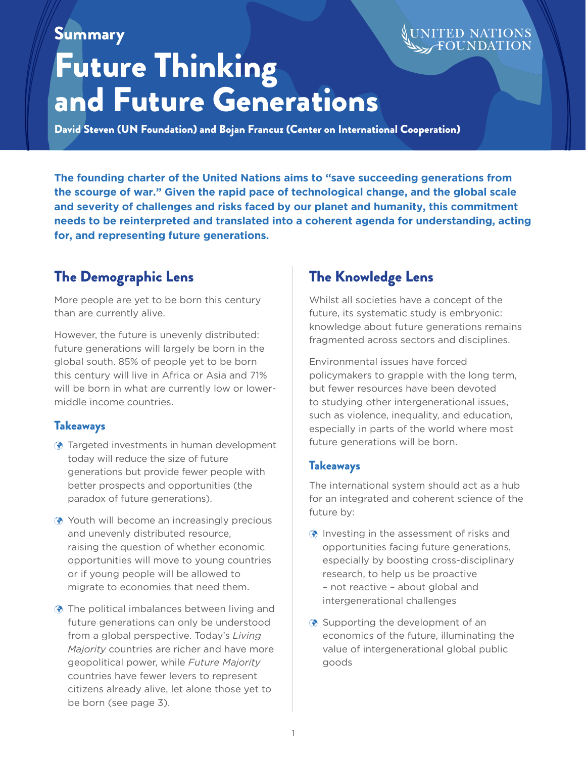# Summary

# Future Thinking and Future Generations

**ED NATIONS** 

David Steven (UN Foundation) and Bojan Francuz (Center on International Cooperation)

**The founding charter of the United Nations aims to "save succeeding generations from the scourge of war." Given the rapid pace of technological change, and the global scale and severity of challenges and risks faced by our planet and humanity, this commitment needs to be reinterpreted and translated into a coherent agenda for understanding, acting for, and representing future generations.**

# The Demographic Lens

More people are yet to be born this century than are currently alive.

However, the future is unevenly distributed: future generations will largely be born in the global south. 85% of people yet to be born this century will live in Africa or Asia and 71% will be born in what are currently low or lowermiddle income countries.

# Takeaways

- $\odot$  Targeted investments in human development today will reduce the size of future generations but provide fewer people with better prospects and opportunities (the paradox of future generations).
- $\odot$  Youth will become an increasingly precious and unevenly distributed resource, raising the question of whether economic opportunities will move to young countries or if young people will be allowed to migrate to economies that need them.
- $\odot$  The political imbalances between living and future generations can only be understood from a global perspective. Today's *Living Majority* countries are richer and have more geopolitical power, while *Future Majority* countries have fewer levers to represent citizens already alive, let alone those yet to be born (see page 3).

# The Knowledge Lens

Whilst all societies have a concept of the future, its systematic study is embryonic: knowledge about future generations remains fragmented across sectors and disciplines.

Environmental issues have forced policymakers to grapple with the long term, but fewer resources have been devoted to studying other intergenerational issues, such as violence, inequality, and education, especially in parts of the world where most future generations will be born.

### **Takeaways**

The international system should act as a hub for an integrated and coherent science of the future by:

- $\odot$  Investing in the assessment of risks and opportunities facing future generations, especially by boosting cross-disciplinary research, to help us be proactive – not reactive – about global and intergenerational challenges
- $\odot$  Supporting the development of an economics of the future, illuminating the value of intergenerational global public goods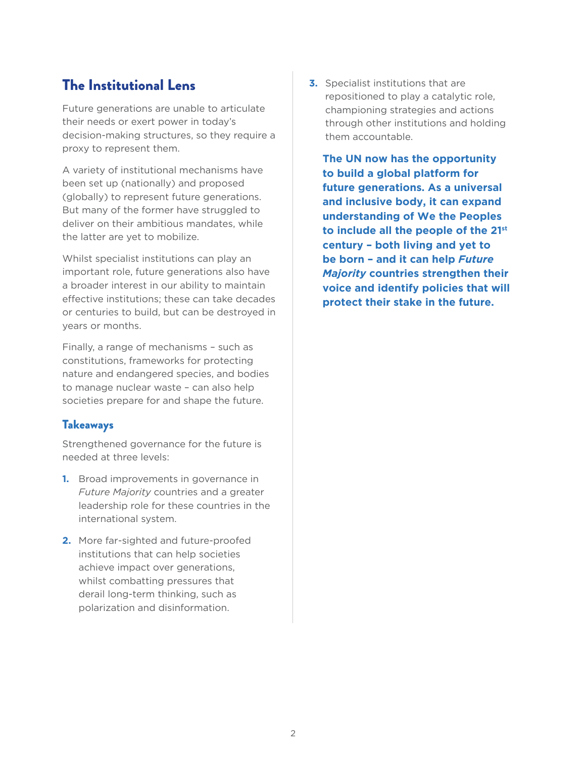# The Institutional Lens

Future generations are unable to articulate their needs or exert power in today's decision-making structures, so they require a proxy to represent them.

A variety of institutional mechanisms have been set up (nationally) and proposed (globally) to represent future generations. But many of the former have struggled to deliver on their ambitious mandates, while the latter are yet to mobilize.

Whilst specialist institutions can play an important role, future generations also have a broader interest in our ability to maintain effective institutions; these can take decades or centuries to build, but can be destroyed in years or months.

Finally, a range of mechanisms – such as constitutions, frameworks for protecting nature and endangered species, and bodies to manage nuclear waste – can also help societies prepare for and shape the future.

### Takeaways

Strengthened governance for the future is needed at three levels:

- **1.** Broad improvements in governance in *Future Majority* countries and a greater leadership role for these countries in the international system.
- **2.** More far-sighted and future-proofed institutions that can help societies achieve impact over generations, whilst combatting pressures that derail long-term thinking, such as polarization and disinformation.

**3.** Specialist institutions that are repositioned to play a catalytic role, championing strategies and actions through other institutions and holding them accountable.

**The UN now has the opportunity to build a global platform for future generations. As a universal and inclusive body, it can expand understanding of We the Peoples to include all the people of the 21st century – both living and yet to be born – and it can help** *Future Majority* **countries strengthen their voice and identify policies that will protect their stake in the future.**